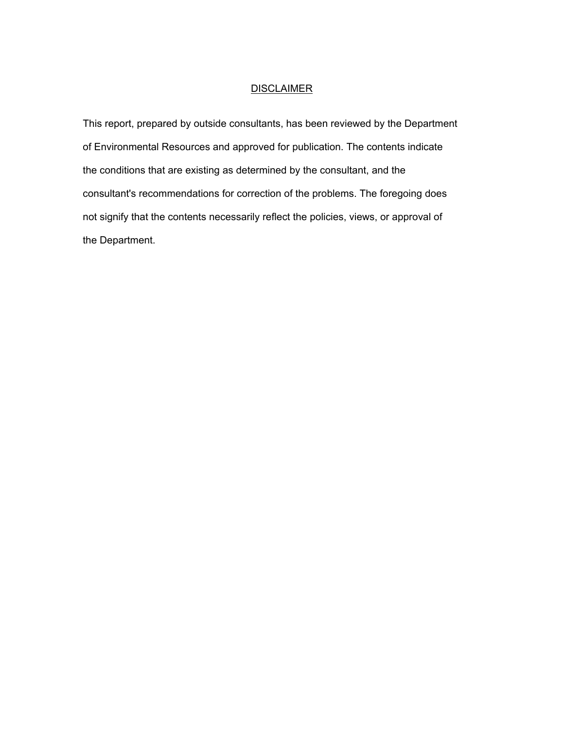## **DISCLAIMER**

This report, prepared by outside consultants, has been reviewed by the Department of Environmental Resources and approved for publication. The contents indicate the conditions that are existing as determined by the consultant, and the consultant's recommendations for correction of the problems. The foregoing does not signify that the contents necessarily reflect the policies, views, or approval of the Department.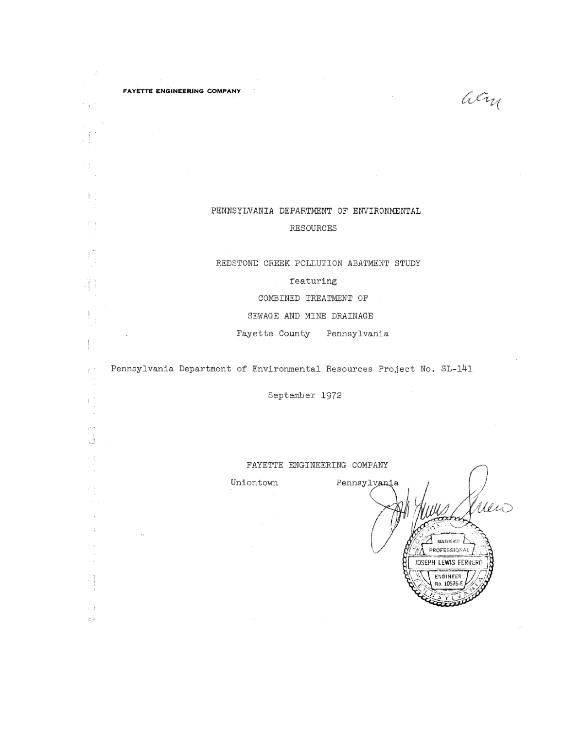fi

Ť.

 $\mathsf{F}^{-n}$ 

 $\begin{bmatrix} 1 & 0 \\ 0 & 0 \\ 0 & 0 \end{bmatrix}$ 

73

R)  $\geq$ 

PENNSYLVANIA DEPARTMENT OF ENVIRONMENTAL RESOURCES

REDSTONE CREEK POLLUTION ABATMENT STUDY

### featuring

COMBINED TREATMENT OF

SEWAGE AND MINE DRAINAGE

Fayette County Pennsylvania

Pennsylvania Department of Environmental Resources Project No. SL-141

September 1972

#### FAYETTE ENGINEERING COMPANY

Uniontown

Pennsylvania Mio **REGISTERED** PROFESSIONAL **JOSEPH LEWIS FERRERO** ENGINEER No. 10576-F

acry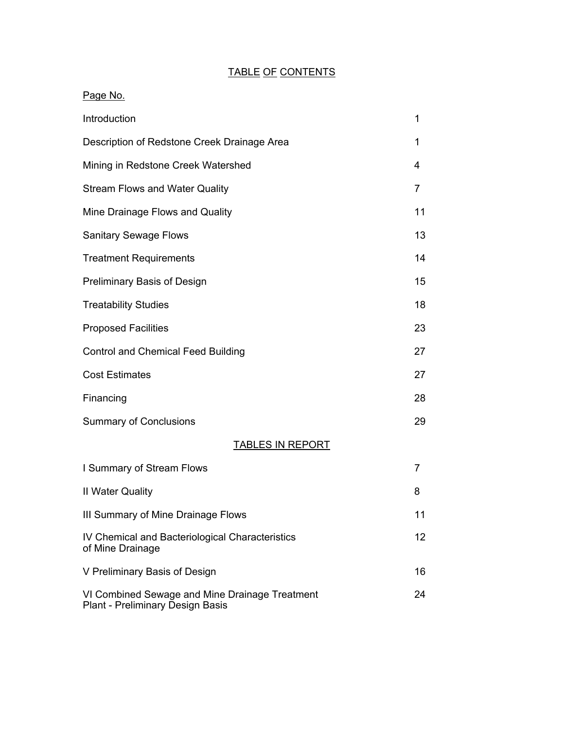## TABLE OF CONTENTS

# Page No. Introduction and the state of the state of the state of the state of the state of the state of the state of the state of the state of the state of the state of the state of the state of the state of the state of the state Description of Redstone Creek Drainage Area 1 Mining in Redstone Creek Watershed 4 Stream Flows and Water Quality **7** and 7 Mine Drainage Flows and Quality 11 and 11 Sanitary Sewage Flows 13 Treatment Requirements 14 Preliminary Basis of Design 15 Treatability Studies 18 Proposed Facilities 23

Control and Chemical Feed Building 27 Cost Estimates 27 Financing 28 Summary of Conclusions 29 TABLES IN REPORT I Summary of Stream Flows 7 II Water Quality 8 III Summary of Mine Drainage Flows 11 IV Chemical and Bacteriological Characteristics 12 of Mine Drainage

V Preliminary Basis of Design 16 VI Combined Sewage and Mine Drainage Treatment 24 Plant - Preliminary Design Basis